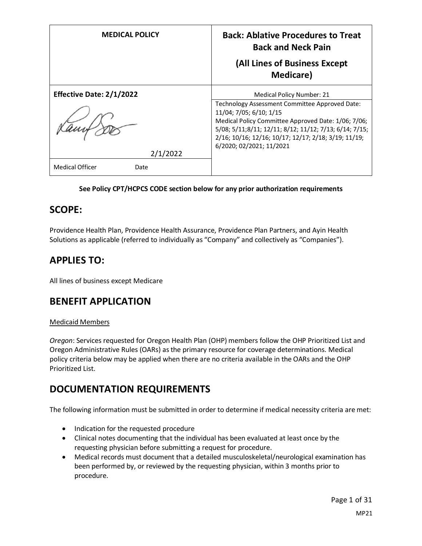| <b>MEDICAL POLICY</b>           | <b>Back: Ablative Procedures to Treat</b><br><b>Back and Neck Pain</b>                                                                                                                                                                                                         |
|---------------------------------|--------------------------------------------------------------------------------------------------------------------------------------------------------------------------------------------------------------------------------------------------------------------------------|
|                                 | (All Lines of Business Except<br><b>Medicare</b> )                                                                                                                                                                                                                             |
| <b>Effective Date: 2/1/2022</b> | <b>Medical Policy Number: 21</b>                                                                                                                                                                                                                                               |
| 2/1/2022                        | Technology Assessment Committee Approved Date:<br>11/04; 7/05; 6/10; 1/15<br>Medical Policy Committee Approved Date: 1/06; 7/06;<br>5/08; 5/11;8/11; 12/11; 8/12; 11/12; 7/13; 6/14; 7/15;<br>2/16; 10/16; 12/16; 10/17; 12/17; 2/18; 3/19; 11/19;<br>6/2020; 02/2021; 11/2021 |
| <b>Medical Officer</b><br>Date  |                                                                                                                                                                                                                                                                                |

## **See Policy CPT/HCPCS CODE section below for any prior authorization requirements**

# **SCOPE:**

Providence Health Plan, Providence Health Assurance, Providence Plan Partners, and Ayin Health Solutions as applicable (referred to individually as "Company" and collectively as "Companies").

# **APPLIES TO:**

All lines of business except Medicare

# **BENEFIT APPLICATION**

### Medicaid Members

*Oregon*: Services requested for Oregon Health Plan (OHP) members follow the OHP Prioritized List and Oregon Administrative Rules (OARs) as the primary resource for coverage determinations. Medical policy criteria below may be applied when there are no criteria available in the OARs and the OHP Prioritized List.

# **DOCUMENTATION REQUIREMENTS**

The following information must be submitted in order to determine if medical necessity criteria are met:

- Indication for the requested procedure
- Clinical notes documenting that the individual has been evaluated at least once by the requesting physician before submitting a request for procedure.
- Medical records must document that a detailed musculoskeletal/neurological examination has been performed by, or reviewed by the requesting physician, within 3 months prior to procedure.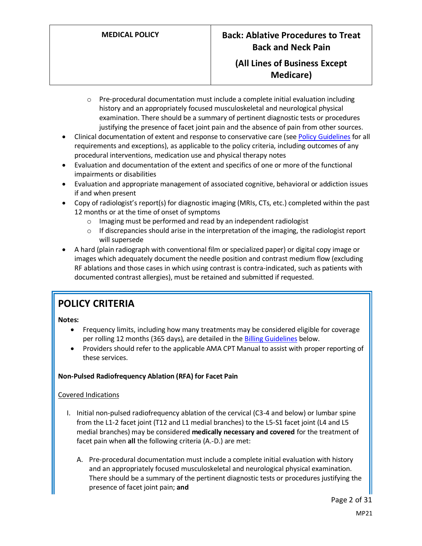- $\circ$  Pre-procedural documentation must include a complete initial evaluation including history and an appropriately focused musculoskeletal and neurological physical examination. There should be a summary of pertinent diagnostic tests or procedures justifying the presence of facet joint pain and the absence of pain from other sources.
- Clinical documentation of extent and response to conservative care (see [Policy Guidelines](#page-3-0) for all requirements and exceptions), as applicable to the policy criteria, including outcomes of any procedural interventions, medication use and physical therapy notes
- Evaluation and documentation of the extent and specifics of one or more of the functional impairments or disabilities
- Evaluation and appropriate management of associated cognitive, behavioral or addiction issues if and when present
- Copy of radiologist's report(s) for diagnostic imaging (MRIs, CTs, etc.) completed within the past 12 months or at the time of onset of symptoms
	- o Imaging must be performed and read by an independent radiologist
	- $\circ$  If discrepancies should arise in the interpretation of the imaging, the radiologist report will supersede
- A hard (plain radiograph with conventional film or specialized paper) or digital copy image or images which adequately document the needle position and contrast medium flow (excluding RF ablations and those cases in which using contrast is contra-indicated, such as patients with documented contrast allergies), must be retained and submitted if requested.

# **POLICY CRITERIA**

**Notes:**

- Frequency limits, including how many treatments may be considered eligible for coverage per rolling 12 months (365 days), are detailed in the **Billing Guidelines** below.
- Providers should refer to the applicable AMA CPT Manual to assist with proper reporting of these services.

# **Non-Pulsed Radiofrequency Ablation (RFA) for Facet Pain**

# Covered Indications

- I. Initial non-pulsed radiofrequency ablation of the cervical (C3-4 and below) or lumbar spine from the L1-2 facet joint (T12 and L1 medial branches) to the L5-S1 facet joint (L4 and L5 medial branches) may be considered **medically necessary and covered** for the treatment of facet pain when **all** the following criteria (A.-D.) are met:
	- A. Pre-procedural documentation must include a complete initial evaluation with history and an appropriately focused musculoskeletal and neurological physical examination. There should be a summary of the pertinent diagnostic tests or procedures justifying the presence of facet joint pain; **and**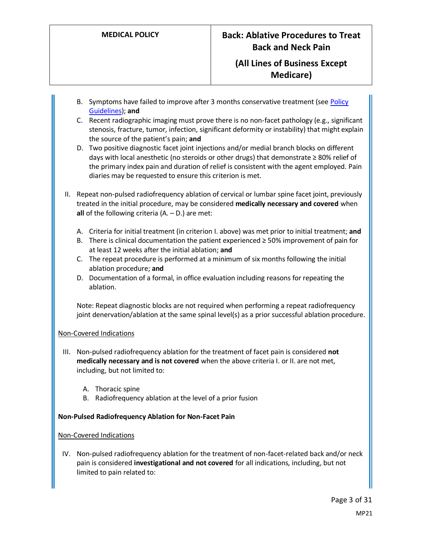- B. Symptoms have failed to improve after 3 months conservative treatment (see Policy [Guidelines\)](#page-3-0); **and**
- C. Recent radiographic imaging must prove there is no non-facet pathology (e.g., significant stenosis, fracture, tumor, infection, significant deformity or instability) that might explain the source of the patient's pain; **and**
- D. Two positive diagnostic facet joint injections and/or medial branch blocks on different days with local anesthetic (no steroids or other drugs) that demonstrate ≥ 80% relief of the primary index pain and duration of relief is consistent with the agent employed. Pain diaries may be requested to ensure this criterion is met.
- II. Repeat non-pulsed radiofrequency ablation of cervical or lumbar spine facet joint, previously treated in the initial procedure, may be considered **medically necessary and covered** when **all** of the following criteria (A. – D.) are met:
	- A. Criteria for initial treatment (in criterion I. above) was met prior to initial treatment; **and**
	- B. There is clinical documentation the patient experienced ≥ 50% improvement of pain for at least 12 weeks after the initial ablation; **and**
	- C. The repeat procedure is performed at a minimum of six months following the initial ablation procedure; **and**
	- D. Documentation of a formal, in office evaluation including reasons for repeating the ablation.

Note: Repeat diagnostic blocks are not required when performing a repeat radiofrequency joint denervation/ablation at the same spinal level(s) as a prior successful ablation procedure.

# Non-Covered Indications

- III. Non-pulsed radiofrequency ablation for the treatment of facet pain is considered **not medically necessary and is not covered** when the above criteria I. or II. are not met, including, but not limited to:
	- A. Thoracic spine
	- B. Radiofrequency ablation at the level of a prior fusion

# **Non-Pulsed Radiofrequency Ablation for Non-Facet Pain**

### Non-Covered Indications

IV. Non-pulsed radiofrequency ablation for the treatment of non-facet-related back and/or neck pain is considered **investigational and not covered** for all indications, including, but not limited to pain related to: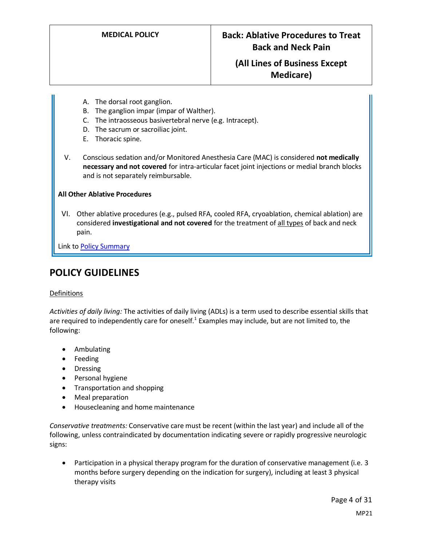- A. The dorsal root ganglion.
- B. The ganglion impar (impar of Walther).
- C. The intraosseous basivertebral nerve (e.g. Intracept).
- D. The sacrum or sacroiliac joint.
- E. Thoracic spine.
- V. Conscious sedation and/or Monitored Anesthesia Care (MAC) is considered **not medically necessary and not covered** for intra-articular facet joint injections or medial branch blocks and is not separately reimbursable.

## **All Other Ablative Procedures**

VI. Other ablative procedures (e.g., pulsed RFA, cooled RFA, cryoablation, chemical ablation) are considered **investigational and not covered** for the treatment of all types of back and neck pain.

Link t[o Policy Summary](#page-25-0)

# <span id="page-3-0"></span>**POLICY GUIDELINES**

# Definitions

*Activities of daily living:* The activities of daily living (ADLs) is a term used to describe essential skills that are required to independently care for oneself.<sup>1</sup> Examples may include, but are not limited to, the following:

- Ambulating
- Feeding
- Dressing
- Personal hygiene
- Transportation and shopping
- Meal preparation
- Housecleaning and home maintenance

*Conservative treatments:* Conservative care must be recent (within the last year) and include all of the following, unless contraindicated by documentation indicating severe or rapidly progressive neurologic signs:

• Participation in a physical therapy program for the duration of conservative management (i.e. 3 months before surgery depending on the indication for surgery), including at least 3 physical therapy visits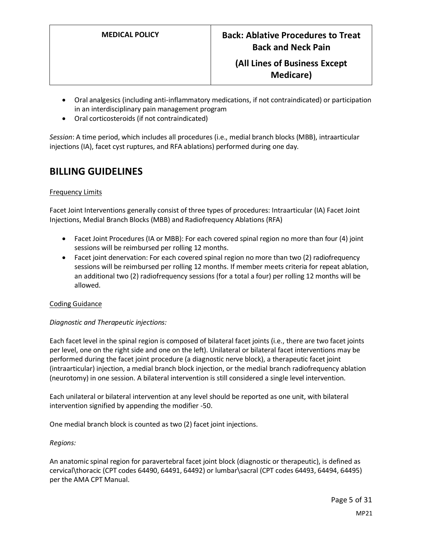- Oral analgesics (including anti-inflammatory medications, if not contraindicated) or participation in an interdisciplinary pain management program
- Oral corticosteroids (if not contraindicated)

*Session*: A time period, which includes all procedures (i.e., medial branch blocks (MBB), intraarticular injections (IA), facet cyst ruptures, and RFA ablations) performed during one day.

# <span id="page-4-0"></span>**BILLING GUIDELINES**

# Frequency Limits

Facet Joint Interventions generally consist of three types of procedures: Intraarticular (IA) Facet Joint Injections, Medial Branch Blocks (MBB) and Radiofrequency Ablations (RFA)

- Facet Joint Procedures (IA or MBB): For each covered spinal region no more than four (4) joint sessions will be reimbursed per rolling 12 months.
- Facet joint denervation: For each covered spinal region no more than two (2) radiofrequency sessions will be reimbursed per rolling 12 months. If member meets criteria for repeat ablation, an additional two (2) radiofrequency sessions (for a total a four) per rolling 12 months will be allowed.

# Coding Guidance

# *Diagnostic and Therapeutic injections:*

Each facet level in the spinal region is composed of bilateral facet joints (i.e., there are two facet joints per level, one on the right side and one on the left). Unilateral or bilateral facet interventions may be performed during the facet joint procedure (a diagnostic nerve block), a therapeutic facet joint (intraarticular) injection, a medial branch block injection, or the medial branch radiofrequency ablation (neurotomy) in one session. A bilateral intervention is still considered a single level intervention.

Each unilateral or bilateral intervention at any level should be reported as one unit, with bilateral intervention signified by appending the modifier -50.

One medial branch block is counted as two (2) facet joint injections.

# *Regions:*

An anatomic spinal region for paravertebral facet joint block (diagnostic or therapeutic), is defined as cervical\thoracic (CPT codes 64490, 64491, 64492) or lumbar\sacral (CPT codes 64493, 64494, 64495) per the AMA CPT Manual.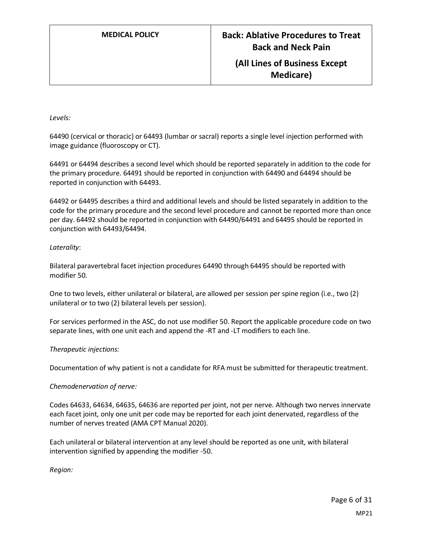**Medicare)**

#### *Levels:*

64490 (cervical or thoracic) or 64493 (lumbar or sacral) reports a single level injection performed with image guidance (fluoroscopy or CT).

64491 or 64494 describes a second level which should be reported separately in addition to the code for the primary procedure. 64491 should be reported in conjunction with 64490 and 64494 should be reported in conjunction with 64493.

64492 or 64495 describes a third and additional levels and should be listed separately in addition to the code for the primary procedure and the second level procedure and cannot be reported more than once per day. 64492 should be reported in conjunction with 64490/64491 and 64495 should be reported in conjunction with 64493/64494.

### *Laterality*:

Bilateral paravertebral facet injection procedures 64490 through 64495 should be reported with modifier 50.

One to two levels, either unilateral or bilateral, are allowed per session per spine region (i.e., two (2) unilateral or to two (2) bilateral levels per session).

For services performed in the ASC, do not use modifier 50. Report the applicable procedure code on two separate lines, with one unit each and append the -RT and -LT modifiers to each line.

### *Therapeutic injections:*

Documentation of why patient is not a candidate for RFA must be submitted for therapeutic treatment.

### *Chemodenervation of nerve:*

Codes 64633, 64634, 64635, 64636 are reported per joint, not per nerve. Although two nerves innervate each facet joint, only one unit per code may be reported for each joint denervated, regardless of the number of nerves treated (AMA CPT Manual 2020).

Each unilateral or bilateral intervention at any level should be reported as one unit, with bilateral intervention signified by appending the modifier -50.

*Region:*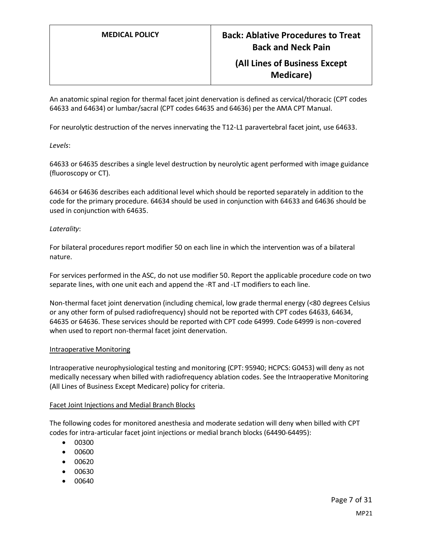An anatomic spinal region for thermal facet joint denervation is defined as cervical/thoracic (CPT codes 64633 and 64634) or lumbar/sacral (CPT codes 64635 and 64636) per the AMA CPT Manual.

For neurolytic destruction of the nerves innervating the T12-L1 paravertebral facet joint, use 64633.

*Levels*:

64633 or 64635 describes a single level destruction by neurolytic agent performed with image guidance (fluoroscopy or CT).

64634 or 64636 describes each additional level which should be reported separately in addition to the code for the primary procedure. 64634 should be used in conjunction with 64633 and 64636 should be used in conjunction with 64635.

## *Laterality*:

For bilateral procedures report modifier 50 on each line in which the intervention was of a bilateral nature.

For services performed in the ASC, do not use modifier 50. Report the applicable procedure code on two separate lines, with one unit each and append the -RT and -LT modifiers to each line.

Non-thermal facet joint denervation (including chemical, low grade thermal energy (<80 degrees Celsius or any other form of pulsed radiofrequency) should not be reported with CPT codes 64633, 64634, 64635 or 64636. These services should be reported with CPT code 64999. Code 64999 is non-covered when used to report non-thermal facet joint denervation.

### Intraoperative Monitoring

Intraoperative neurophysiological testing and monitoring (CPT: 95940; HCPCS: G0453) will deny as not medically necessary when billed with radiofrequency ablation codes. See the Intraoperative Monitoring (All Lines of Business Except Medicare) policy for criteria.

### Facet Joint Injections and Medial Branch Blocks

The following codes for monitored anesthesia and moderate sedation will deny when billed with CPT codes for intra-articular facet joint injections or medial branch blocks (64490-64495):

- 00300
- 00600
- 00620
- 00630
- 00640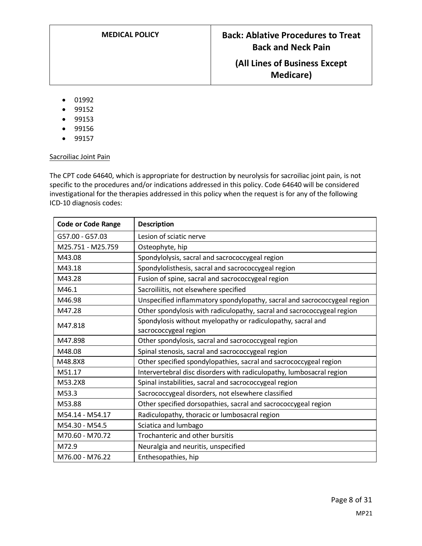- 01992
- 99152
- 99153
- 99156
- 99157

### Sacroiliac Joint Pain

The CPT code 64640, which is appropriate for destruction by neurolysis for sacroiliac joint pain, is not specific to the procedures and/or indications addressed in this policy. Code 64640 will be considered investigational for the therapies addressed in this policy when the request is for any of the following ICD-10 diagnosis codes:

| <b>Code or Code Range</b> | <b>Description</b>                                                       |
|---------------------------|--------------------------------------------------------------------------|
| G57.00 - G57.03           | Lesion of sciatic nerve                                                  |
| M25.751 - M25.759         | Osteophyte, hip                                                          |
| M43.08                    | Spondylolysis, sacral and sacrococcygeal region                          |
| M43.18                    | Spondylolisthesis, sacral and sacrococcygeal region                      |
| M43.28                    | Fusion of spine, sacral and sacrococcygeal region                        |
| M46.1                     | Sacroiliitis, not elsewhere specified                                    |
| M46.98                    | Unspecified inflammatory spondylopathy, sacral and sacrococcygeal region |
| M47.28                    | Other spondylosis with radiculopathy, sacral and sacrococcygeal region   |
| M47.818                   | Spondylosis without myelopathy or radiculopathy, sacral and              |
|                           | sacrococcygeal region                                                    |
| M47.898                   | Other spondylosis, sacral and sacrococcygeal region                      |
| M48.08                    | Spinal stenosis, sacral and sacrococcygeal region                        |
| M48.8X8                   | Other specified spondylopathies, sacral and sacrococcygeal region        |
| M51.17                    | Intervertebral disc disorders with radiculopathy, lumbosacral region     |
| M53.2X8                   | Spinal instabilities, sacral and sacrococcygeal region                   |
| M53.3                     | Sacrococcygeal disorders, not elsewhere classified                       |
| M53.88                    | Other specified dorsopathies, sacral and sacrococcygeal region           |
| M54.14 - M54.17           | Radiculopathy, thoracic or lumbosacral region                            |
| M54.30 - M54.5            | Sciatica and lumbago                                                     |
| M70.60 - M70.72           | Trochanteric and other bursitis                                          |
| M72.9                     | Neuralgia and neuritis, unspecified                                      |
| M76.00 - M76.22           | Enthesopathies, hip                                                      |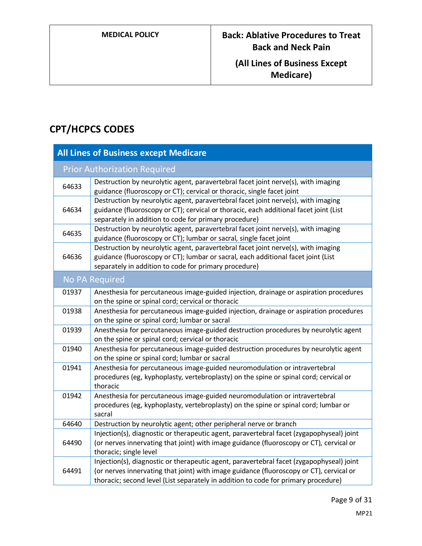# **CPT/HCPCS CODES**

| <b>All Lines of Business except Medicare</b> |                                                                                                                                                                                                                                                                           |  |
|----------------------------------------------|---------------------------------------------------------------------------------------------------------------------------------------------------------------------------------------------------------------------------------------------------------------------------|--|
|                                              | <b>Prior Authorization Required</b>                                                                                                                                                                                                                                       |  |
| 64633                                        | Destruction by neurolytic agent, paravertebral facet joint nerve(s), with imaging<br>guidance (fluoroscopy or CT); cervical or thoracic, single facet joint                                                                                                               |  |
| 64634                                        | Destruction by neurolytic agent, paravertebral facet joint nerve(s), with imaging<br>guidance (fluoroscopy or CT); cervical or thoracic, each additional facet joint (List<br>separately in addition to code for primary procedure)                                       |  |
| 64635                                        | Destruction by neurolytic agent, paravertebral facet joint nerve(s), with imaging<br>guidance (fluoroscopy or CT); lumbar or sacral, single facet joint                                                                                                                   |  |
| 64636                                        | Destruction by neurolytic agent, paravertebral facet joint nerve(s), with imaging<br>guidance (fluoroscopy or CT); lumbar or sacral, each additional facet joint (List<br>separately in addition to code for primary procedure)                                           |  |
|                                              | No PA Required                                                                                                                                                                                                                                                            |  |
| 01937                                        | Anesthesia for percutaneous image-guided injection, drainage or aspiration procedures<br>on the spine or spinal cord; cervical or thoracic                                                                                                                                |  |
| 01938                                        | Anesthesia for percutaneous image-guided injection, drainage or aspiration procedures<br>on the spine or spinal cord; lumbar or sacral                                                                                                                                    |  |
| 01939                                        | Anesthesia for percutaneous image-guided destruction procedures by neurolytic agent<br>on the spine or spinal cord; cervical or thoracic                                                                                                                                  |  |
| 01940                                        | Anesthesia for percutaneous image-guided destruction procedures by neurolytic agent<br>on the spine or spinal cord; lumbar or sacral                                                                                                                                      |  |
| 01941                                        | Anesthesia for percutaneous image-guided neuromodulation or intravertebral<br>procedures (eg, kyphoplasty, vertebroplasty) on the spine or spinal cord; cervical or<br>thoracic                                                                                           |  |
| 01942                                        | Anesthesia for percutaneous image-guided neuromodulation or intravertebral<br>procedures (eg, kyphoplasty, vertebroplasty) on the spine or spinal cord; lumbar or<br>sacral                                                                                               |  |
| 64640                                        | Destruction by neurolytic agent; other peripheral nerve or branch                                                                                                                                                                                                         |  |
| 64490                                        | Injection(s), diagnostic or therapeutic agent, paravertebral facet (zygapophyseal) joint<br>(or nerves innervating that joint) with image guidance (fluoroscopy or CT), cervical or<br>thoracic; single level                                                             |  |
| 64491                                        | Injection(s), diagnostic or therapeutic agent, paravertebral facet (zygapophyseal) joint<br>(or nerves innervating that joint) with image guidance (fluoroscopy or CT), cervical or<br>thoracic; second level (List separately in addition to code for primary procedure) |  |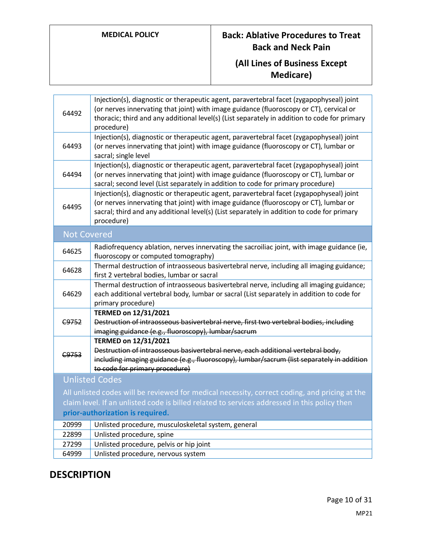# **MEDICAL POLICY Back: Ablative Procedures to Treat Back and Neck Pain**

# **(All Lines of Business Except Medicare)**

| 64492                                                                                         | Injection(s), diagnostic or therapeutic agent, paravertebral facet (zygapophyseal) joint<br>(or nerves innervating that joint) with image guidance (fluoroscopy or CT), cervical or<br>thoracic; third and any additional level(s) (List separately in addition to code for primary<br>procedure) |
|-----------------------------------------------------------------------------------------------|---------------------------------------------------------------------------------------------------------------------------------------------------------------------------------------------------------------------------------------------------------------------------------------------------|
| 64493                                                                                         | Injection(s), diagnostic or therapeutic agent, paravertebral facet (zygapophyseal) joint<br>(or nerves innervating that joint) with image guidance (fluoroscopy or CT), lumbar or<br>sacral; single level                                                                                         |
| 64494                                                                                         | Injection(s), diagnostic or therapeutic agent, paravertebral facet (zygapophyseal) joint<br>(or nerves innervating that joint) with image guidance (fluoroscopy or CT), lumbar or<br>sacral; second level (List separately in addition to code for primary procedure)                             |
| 64495                                                                                         | Injection(s), diagnostic or therapeutic agent, paravertebral facet (zygapophyseal) joint<br>(or nerves innervating that joint) with image guidance (fluoroscopy or CT), lumbar or<br>sacral; third and any additional level(s) (List separately in addition to code for primary<br>procedure)     |
| <b>Not Covered</b>                                                                            |                                                                                                                                                                                                                                                                                                   |
| 64625                                                                                         | Radiofrequency ablation, nerves innervating the sacroiliac joint, with image guidance (ie,<br>fluoroscopy or computed tomography)                                                                                                                                                                 |
| 64628                                                                                         | Thermal destruction of intraosseous basivertebral nerve, including all imaging guidance;<br>first 2 vertebral bodies, lumbar or sacral                                                                                                                                                            |
| 64629                                                                                         | Thermal destruction of intraosseous basivertebral nerve, including all imaging guidance;<br>each additional vertebral body, lumbar or sacral (List separately in addition to code for<br>primary procedure)                                                                                       |
|                                                                                               | TERMED on 12/31/2021                                                                                                                                                                                                                                                                              |
| C9752                                                                                         | Destruction of intraosseous basivertebral nerve, first two vertebral bodies, including<br>imaging guidance (e.g., fluoroscopy), lumbar/sacrum                                                                                                                                                     |
|                                                                                               | TERMED on 12/31/2021                                                                                                                                                                                                                                                                              |
| C9753                                                                                         | Destruction of intraosseous basivertebral nerve, each additional vertebral body,<br>including imaging guidance (e.g., fluoroscopy), lumbar/sacrum (list separately in addition<br>to code for primary procedure)                                                                                  |
|                                                                                               | <b>Unlisted Codes</b>                                                                                                                                                                                                                                                                             |
| All unlisted codes will be reviewed for medical necessity, correct coding, and pricing at the |                                                                                                                                                                                                                                                                                                   |
| claim level. If an unlisted code is billed related to services addressed in this policy then  |                                                                                                                                                                                                                                                                                                   |
| prior-authorization is required.                                                              |                                                                                                                                                                                                                                                                                                   |
| 20999                                                                                         | Unlisted procedure, musculoskeletal system, general                                                                                                                                                                                                                                               |
| 22899                                                                                         | Unlisted procedure, spine                                                                                                                                                                                                                                                                         |
| 27299                                                                                         | Unlisted procedure, pelvis or hip joint                                                                                                                                                                                                                                                           |
| 64999                                                                                         | Unlisted procedure, nervous system                                                                                                                                                                                                                                                                |

# **DESCRIPTION**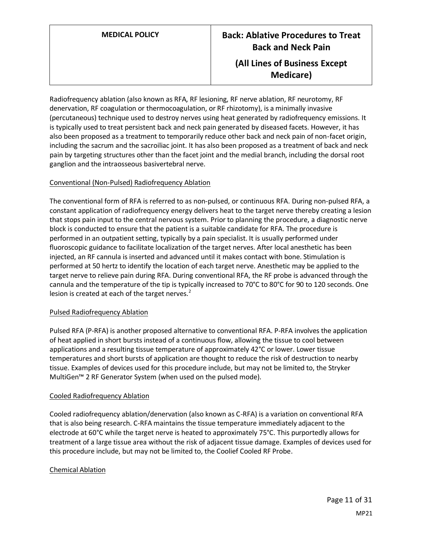Radiofrequency ablation (also known as RFA, RF lesioning, RF nerve ablation, RF neurotomy, RF denervation, RF coagulation or thermocoagulation, or RF rhizotomy), is a minimally invasive (percutaneous) technique used to destroy nerves using heat generated by radiofrequency emissions. It is typically used to treat persistent back and neck pain generated by diseased facets. However, it has also been proposed as a treatment to temporarily reduce other back and neck pain of non-facet origin, including the sacrum and the sacroiliac joint. It has also been proposed as a treatment of back and neck pain by targeting structures other than the facet joint and the medial branch, including the dorsal root ganglion and the intraosseous basivertebral nerve.

## Conventional (Non-Pulsed) Radiofrequency Ablation

The conventional form of RFA is referred to as non-pulsed, or continuous RFA. During non-pulsed RFA, a constant application of radiofrequency energy delivers heat to the target nerve thereby creating a lesion that stops pain input to the central nervous system. Prior to planning the procedure, a diagnostic nerve block is conducted to ensure that the patient is a suitable candidate for RFA. The procedure is performed in an outpatient setting, typically by a pain specialist. It is usually performed under fluoroscopic guidance to facilitate localization of the target nerves. After local anesthetic has been injected, an RF cannula is inserted and advanced until it makes contact with bone. Stimulation is performed at 50 hertz to identify the location of each target nerve. Anesthetic may be applied to the target nerve to relieve pain during RFA. During conventional RFA, the RF probe is advanced through the cannula and the temperature of the tip is typically increased to 70°C to 80°C for 90 to 120 seconds. One lesion is created at each of the target nerves. $2$ 

### Pulsed Radiofrequency Ablation

Pulsed RFA (P-RFA) is another proposed alternative to conventional RFA. P-RFA involves the application of heat applied in short bursts instead of a continuous flow, allowing the tissue to cool between applications and a resulting tissue temperature of approximately 42°C or lower. Lower tissue temperatures and short bursts of application are thought to reduce the risk of destruction to nearby tissue. Examples of devices used for this procedure include, but may not be limited to, the Stryker MultiGen™ 2 RF Generator System (when used on the pulsed mode).

### Cooled Radiofrequency Ablation

Cooled radiofrequency ablation/denervation (also known as C-RFA) is a variation on conventional RFA that is also being research. C-RFA maintains the tissue temperature immediately adjacent to the electrode at 60°C while the target nerve is heated to approximately 75°C. This purportedly allows for treatment of a large tissue area without the risk of adjacent tissue damage. Examples of devices used for this procedure include, but may not be limited to, the Coolief Cooled RF Probe.

### Chemical Ablation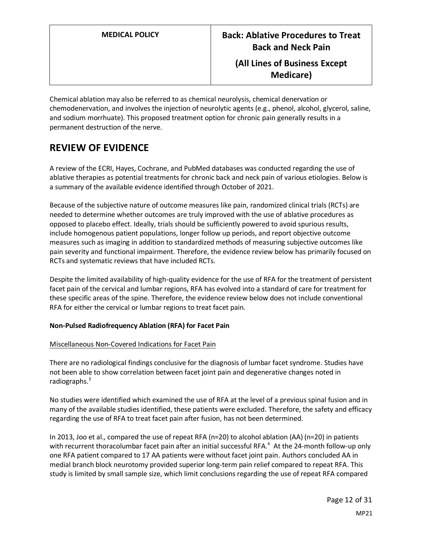**Medicare)**

Chemical ablation may also be referred to as chemical neurolysis, chemical denervation or chemodenervation, and involves the injection of neurolytic agents (e.g., phenol, alcohol, glycerol, saline, and sodium morrhuate). This proposed treatment option for chronic pain generally results in a permanent destruction of the nerve.

# **REVIEW OF EVIDENCE**

A review of the ECRI, Hayes, Cochrane, and PubMed databases was conducted regarding the use of ablative therapies as potential treatments for chronic back and neck pain of various etiologies. Below is a summary of the available evidence identified through October of 2021.

Because of the subjective nature of outcome measures like pain, randomized clinical trials (RCTs) are needed to determine whether outcomes are truly improved with the use of ablative procedures as opposed to placebo effect. Ideally, trials should be sufficiently powered to avoid spurious results, include homogenous patient populations, longer follow up periods, and report objective outcome measures such as imaging in addition to standardized methods of measuring subjective outcomes like pain severity and functional impairment. Therefore, the evidence review below has primarily focused on RCTs and systematic reviews that have included RCTs.

Despite the limited availability of high-quality evidence for the use of RFA for the treatment of persistent facet pain of the cervical and lumbar regions, RFA has evolved into a standard of care for treatment for these specific areas of the spine. Therefore, the evidence review below does not include conventional RFA for either the cervical or lumbar regions to treat facet pain.

# **Non-Pulsed Radiofrequency Ablation (RFA) for Facet Pain**

# Miscellaneous Non-Covered Indications for Facet Pain

There are no radiological findings conclusive for the diagnosis of lumbar facet syndrome. Studies have not been able to show correlation between facet joint pain and degenerative changes noted in radiographs.<sup>3</sup>

No studies were identified which examined the use of RFA at the level of a previous spinal fusion and in many of the available studies identified, these patients were excluded. Therefore, the safety and efficacy regarding the use of RFA to treat facet pain after fusion, has not been determined.

In 2013, Joo et al., compared the use of repeat RFA (n=20) to alcohol ablation (AA) (n=20) in patients with recurrent thoracolumbar facet pain after an initial successful RFA.<sup>4</sup> At the 24-month follow-up only one RFA patient compared to 17 AA patients were without facet joint pain. Authors concluded AA in medial branch block neurotomy provided superior long-term pain relief compared to repeat RFA. This study is limited by small sample size, which limit conclusionsregarding the use of repeat RFA compared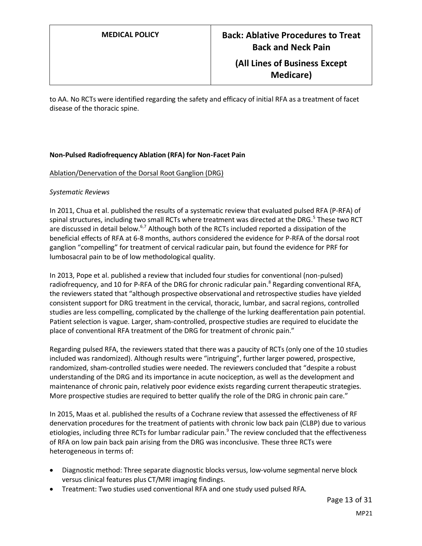to AA. No RCTs were identified regarding the safety and efficacy of initial RFA as a treatment of facet disease of the thoracic spine.

## **Non-Pulsed Radiofrequency Ablation (RFA) for Non-Facet Pain**

### Ablation/Denervation of the Dorsal Root Ganglion (DRG)

### *Systematic Reviews*

In 2011, Chua et al. published the results of a systematic review that evaluated pulsed RFA (P-RFA) of spinal structures, including two small RCTs where treatment was directed at the DRG.<sup>5</sup> These two RCT are discussed in detail below.<sup>6,7</sup> Although both of the RCTs included reported a dissipation of the beneficial effects of RFA at 6-8 months, authors considered the evidence for P-RFA of the dorsal root ganglion "compelling" for treatment of cervical radicular pain, but found the evidence for PRF for lumbosacral pain to be of low methodological quality.

In 2013, Pope et al. published a review that included four studies for conventional (non-pulsed) radiofrequency, and 10 for P-RFA of the DRG for chronic radicular pain.<sup>8</sup> Regarding conventional RFA, the reviewers stated that "although prospective observational and retrospective studies have yielded consistent support for DRG treatment in the cervical, thoracic, lumbar, and sacral regions, controlled studies are less compelling, complicated by the challenge of the lurking deafferentation pain potential. Patient selection is vague. Larger, sham-controlled, prospective studies are required to elucidate the place of conventional RFA treatment of the DRG for treatment of chronic pain."

Regarding pulsed RFA, the reviewers stated that there was a paucity of RCTs (only one of the 10 studies included was randomized). Although results were "intriguing", further larger powered, prospective, randomized, sham-controlled studies were needed. The reviewers concluded that "despite a robust understanding of the DRG and its importance in acute nociception, as well as the development and maintenance of chronic pain, relatively poor evidence exists regarding current therapeutic strategies. More prospective studies are required to better qualify the role of the DRG in chronic pain care."

In 2015, Maas et al. published the results of a Cochrane review that assessed the effectiveness of RF denervation procedures for the treatment of patients with chronic low back pain (CLBP) due to various etiologies, including three RCTs for lumbar radicular pain.<sup>9</sup> The review concluded that the effectiveness of RFA on low pain back pain arising from the DRG was inconclusive. These three RCTs were heterogeneous in terms of:

- Diagnostic method: Three separate diagnostic blocks versus, low-volume segmental nerve block versus clinical features plus CT/MRI imaging findings.
- Treatment: Two studies used conventional RFA and one study used pulsed RFA.

MP21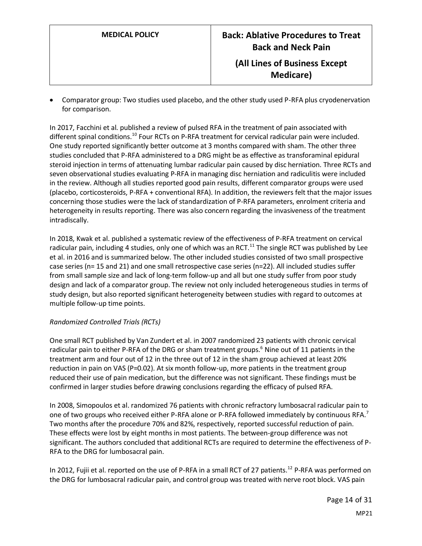• Comparator group: Two studies used placebo, and the other study used P-RFA plus cryodenervation for comparison.

In 2017, Facchini et al. published a review of pulsed RFA in the treatment of pain associated with different spinal conditions.<sup>10</sup> Four RCTs on P-RFA treatment for cervical radicular pain were included. One study reported significantly better outcome at 3 months compared with sham. The other three studies concluded that P-RFA administered to a DRG might be as effective as transforaminal epidural steroid injection in terms of attenuating lumbar radicular pain caused by disc herniation. Three RCTs and seven observational studies evaluating P-RFA in managing disc herniation and radiculitis were included in the review. Although all studies reported good pain results, different comparator groups were used (placebo, corticosteroids, P-RFA + conventional RFA). In addition, the reviewers felt that the major issues concerning those studies were the lack of standardization of P-RFA parameters, enrolment criteria and heterogeneity in results reporting. There was also concern regarding the invasiveness of the treatment intradiscally.

In 2018, Kwak et al. published a systematic review of the effectiveness of P-RFA treatment on cervical radicular pain, including 4 studies, only one of which was an RCT.<sup>11</sup> The single RCT was published by Lee et al. in 2016 and is summarized below. The other included studies consisted of two small prospective case series (n= 15 and 21) and one small retrospective case series (n=22). All included studies suffer from small sample size and lack of long-term follow-up and all but one study suffer from poor study design and lack of a comparator group. The review not only included heterogeneous studies in terms of study design, but also reported significant heterogeneity between studies with regard to outcomes at multiple follow-up time points.

# *Randomized Controlled Trials (RCTs)*

One small RCT published by Van Zundert et al. in 2007 randomized 23 patients with chronic cervical radicular pain to either P-RFA of the DRG or sham treatment groups.<sup>6</sup> Nine out of 11 patients in the treatment arm and four out of 12 in the three out of 12 in the sham group achieved at least 20% reduction in pain on VAS (P=0.02). At six month follow-up, more patients in the treatment group reduced their use of pain medication, but the difference was not significant. These findings must be confirmed in larger studies before drawing conclusions regarding the efficacy of pulsed RFA.

In 2008, Simopoulos et al. randomized 76 patients with chronic refractory lumbosacral radicular pain to one of two groups who received either P-RFA alone or P-RFA followed immediately by continuous RFA.<sup>7</sup> Two months after the procedure 70% and 82%, respectively, reported successful reduction of pain. These effects were lost by eight months in most patients. The between-group difference was not significant. The authors concluded that additional RCTs are required to determine the effectiveness of P-RFA to the DRG for lumbosacral pain.

In 2012, Fujii et al. reported on the use of P-RFA in a small RCT of 27 patients.<sup>12</sup> P-RFA was performed on the DRG for lumbosacral radicular pain, and control group was treated with nerve root block. VAS pain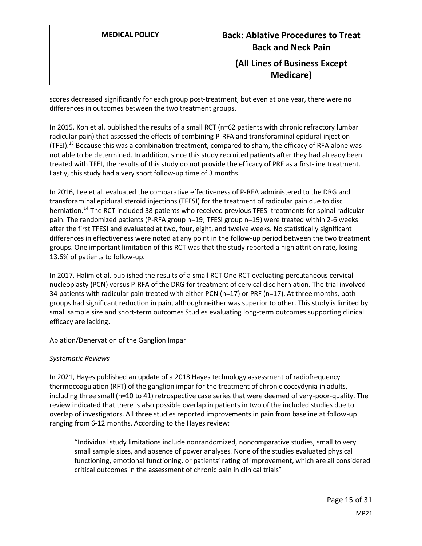scores decreased significantly for each group post-treatment, but even at one year, there were no differences in outcomes between the two treatment groups.

In 2015, Koh et al. published the results of a small RCT (n=62 patients with chronic refractory lumbar radicular pain) that assessed the effects of combining P-RFA and transforaminal epidural injection (TFEI).<sup>13</sup> Because this was a combination treatment, compared to sham, the efficacy of RFA alone was not able to be determined. In addition, since this study recruited patients after they had already been treated with TFEI, the results of this study do not provide the efficacy of PRF as a first-line treatment. Lastly, this study had a very short follow-up time of 3 months.

In 2016, Lee et al. evaluated the comparative effectiveness of P-RFA administered to the DRG and transforaminal epidural steroid injections (TFESI) for the treatment of radicular pain due to disc herniation.<sup>14</sup> The RCT included 38 patients who received previous TFESI treatments for spinal radicular pain. The randomized patients (P-RFA group n=19; TFESI group n=19) were treated within 2-6 weeks after the first TFESI and evaluated at two, four, eight, and twelve weeks. No statistically significant differences in effectiveness were noted at any point in the follow-up period between the two treatment groups. One important limitation of this RCT was that the study reported a high attrition rate, losing 13.6% of patients to follow-up.

In 2017, Halim et al. published the results of a small RCT One RCT evaluating percutaneous cervical nucleoplasty (PCN) versus P-RFA of the DRG for treatment of cervical disc herniation. The trial involved 34 patients with radicular pain treated with either PCN (n=17) or PRF (n=17). At three months, both groups had significant reduction in pain, although neither was superior to other. This study is limited by small sample size and short-term outcomes Studies evaluating long-term outcomes supporting clinical efficacy are lacking.

# Ablation/Denervation of the Ganglion Impar

# *Systematic Reviews*

In 2021, Hayes published an update of a 2018 Hayes technology assessment of radiofrequency thermocoagulation (RFT) of the ganglion impar for the treatment of chronic coccydynia in adults, including three small (n=10 to 41) retrospective case series that were deemed of very-poor-quality. The review indicated that there is also possible overlap in patients in two of the included studies due to overlap of investigators. All three studies reported improvements in pain from baseline at follow-up ranging from 6-12 months. According to the Hayes review:

"Individual study limitations include nonrandomized, noncomparative studies, small to very small sample sizes, and absence of power analyses. None of the studies evaluated physical functioning, emotional functioning, or patients' rating of improvement, which are all considered critical outcomes in the assessment of chronic pain in clinical trials"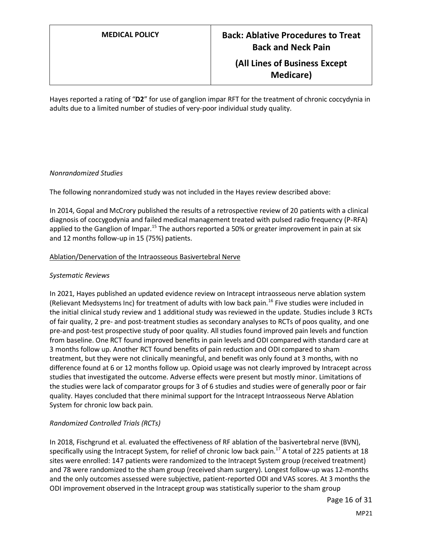Hayes reported a rating of "**D2**" for use of ganglion impar RFT for the treatment of chronic coccydynia in adults due to a limited number of studies of very-poor individual study quality.

## *Nonrandomized Studies*

The following nonrandomized study was not included in the Hayes review described above:

In 2014, Gopal and McCrory published the results of a retrospective review of 20 patients with a clinical diagnosis of coccygodynia and failed medical management treated with pulsed radio frequency (P-RFA) applied to the Ganglion of Impar.<sup>15</sup> The authors reported a 50% or greater improvement in pain at six and 12 months follow-up in 15 (75%) patients.

### Ablation/Denervation of the Intraosseous Basivertebral Nerve

## *Systematic Reviews*

In 2021, Hayes published an updated evidence review on Intracept intraosseous nerve ablation system (Relievant Medsystems Inc) for treatment of adults with low back pain.<sup>16</sup> Five studies were included in the initial clinical study review and 1 additional study was reviewed in the update. Studies include 3 RCTs of fair quality, 2 pre- and post-treatment studies as secondary analyses to RCTs of poos quality, and one pre-and post-test prospective study of poor quality. All studies found improved pain levels and function from baseline. One RCT found improved benefits in pain levels and ODI compared with standard care at 3 months follow up. Another RCT found benefits of pain reduction and ODI compared to sham treatment, but they were not clinically meaningful, and benefit was only found at 3 months, with no difference found at 6 or 12 months follow up. Opioid usage was not clearly improved by Intracept across studies that investigated the outcome. Adverse effects were present but mostly minor. Limitations of the studies were lack of comparator groups for 3 of 6 studies and studies were of generally poor or fair quality. Hayes concluded that there minimal support for the Intracept Intraosseous Nerve Ablation System for chronic low back pain.

# *Randomized Controlled Trials (RCTs)*

In 2018, Fischgrund et al. evaluated the effectiveness of RF ablation of the basivertebral nerve (BVN), specifically using the Intracept System, for relief of chronic low back pain.<sup>17</sup> A total of 225 patients at 18 sites were enrolled: 147 patients were randomized to the Intracept System group (received treatment) and 78 were randomized to the sham group (received sham surgery). Longest follow-up was 12-months and the only outcomes assessed were subjective, patient-reported ODI and VAS scores. At 3 months the ODI improvement observed in the Intracept group was statistically superior to the sham group

Page 16 of 31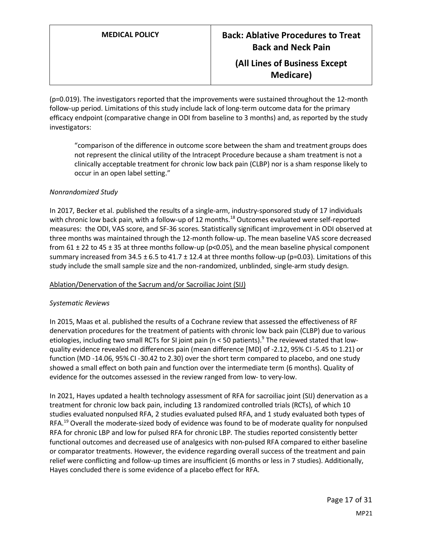(p=0.019). The investigators reported that the improvements were sustained throughout the 12-month follow-up period. Limitations of this study include lack of long-term outcome data for the primary efficacy endpoint (comparative change in ODI from baseline to 3 months) and, as reported by the study investigators:

"comparison of the difference in outcome score between the sham and treatment groups does not represent the clinical utility of the Intracept Procedure because a sham treatment is not a clinically acceptable treatment for chronic low back pain (CLBP) nor is a sham response likely to occur in an open label setting."

## *Nonrandomized Study*

In 2017, Becker et al. published the results of a single-arm, industry-sponsored study of 17 individuals with chronic low back pain, with a follow-up of 12 months.<sup>18</sup> Outcomes evaluated were self-reported measures: the ODI, VAS score, and SF-36 scores. Statistically significant improvement in ODI observed at three months was maintained through the 12-month follow-up. The mean baseline VAS score decreased from 61  $\pm$  22 to 45  $\pm$  35 at three months follow-up (p<0.05), and the mean baseline physical component summary increased from 34.5  $\pm$  6.5 to 41.7  $\pm$  12.4 at three months follow-up (p=0.03). Limitations of this study include the small sample size and the non-randomized, unblinded, single-arm study design.

### Ablation/Denervation of the Sacrum and/or Sacroiliac Joint (SIJ)

### *Systematic Reviews*

In 2015, Maas et al. published the results of a Cochrane review that assessed the effectiveness of RF denervation procedures for the treatment of patients with chronic low back pain (CLBP) due to various etiologies, including two small RCTs for SI joint pain (n < 50 patients).<sup>9</sup> The reviewed stated that lowquality evidence revealed no differences pain (mean difference [MD] of ‐2.12, 95% CI ‐5.45 to 1.21) or function (MD ‐14.06, 95% CI ‐30.42 to 2.30) over the short term compared to placebo, and one study showed a small effect on both pain and function over the intermediate term (6 months). Quality of evidence for the outcomes assessed in the review ranged from low- to very-low.

In 2021, Hayes updated a health technology assessment of RFA for sacroiliac joint (SIJ) denervation as a treatment for chronic low back pain, including 13 randomized controlled trials (RCTs), of which 10 studies evaluated nonpulsed RFA, 2 studies evaluated pulsed RFA, and 1 study evaluated both types of RFA.<sup>19</sup> Overall the moderate-sized body of evidence was found to be of moderate quality for nonpulsed RFA for chronic LBP and low for pulsed RFA for chronic LBP. The studies reported consistently better functional outcomes and decreased use of analgesics with non-pulsed RFA compared to either baseline or comparator treatments. However, the evidence regarding overall success of the treatment and pain relief were conflicting and follow-up times are insufficient (6 months or less in 7 studies). Additionally, Hayes concluded there is some evidence of a placebo effect for RFA.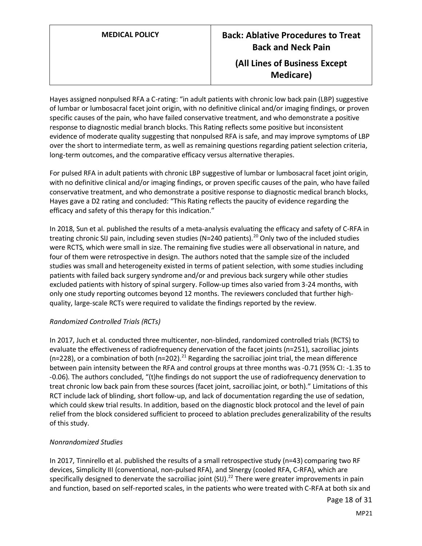Hayes assigned nonpulsed RFA a C-rating: "in adult patients with chronic low back pain (LBP) suggestive of lumbar or lumbosacral facet joint origin, with no definitive clinical and/or imaging findings, or proven specific causes of the pain, who have failed conservative treatment, and who demonstrate a positive response to diagnostic medial branch blocks. This Rating reflects some positive but inconsistent evidence of moderate quality suggesting that nonpulsed RFA is safe, and may improve symptoms of LBP over the short to intermediate term, as well as remaining questions regarding patient selection criteria, long-term outcomes, and the comparative efficacy versus alternative therapies.

For pulsed RFA in adult patients with chronic LBP suggestive of lumbar or lumbosacral facet joint origin, with no definitive clinical and/or imaging findings, or proven specific causes of the pain, who have failed conservative treatment, and who demonstrate a positive response to diagnostic medical branch blocks, Hayes gave a D2 rating and concluded: "This Rating reflects the paucity of evidence regarding the efficacy and safety of this therapy for this indication."

In 2018, Sun et al. published the results of a meta-analysis evaluating the efficacy and safety of C-RFA in treating chronic SIJ pain, including seven studies (N=240 patients).<sup>20</sup> Only two of the included studies were RCTS, which were small in size. The remaining five studies were all observational in nature, and four of them were retrospective in design. The authors noted that the sample size of the included studies was small and heterogeneity existed in terms of patient selection, with some studies including patients with failed back surgery syndrome and/or and previous back surgery while other studies excluded patients with history of spinal surgery. Follow-up times also varied from 3-24 months, with only one study reporting outcomes beyond 12 months. The reviewers concluded that further highquality, large-scale RCTs were required to validate the findings reported by the review.

# *Randomized Controlled Trials (RCTs)*

In 2017, Juch et al. conducted three multicenter, non-blinded, randomized controlled trials (RCTS) to evaluate the effectiveness of radiofrequency denervation of the facet joints (n=251), sacroiliac joints (n=228), or a combination of both (n=202).<sup>21</sup> Regarding the sacroiliac joint trial, the mean difference between pain intensity between the RFA and control groups at three months was -0.71 (95% CI: -1.35 to -0.06). The authors concluded, "(t)he findings do not support the use of radiofrequency denervation to treat chronic low back pain from these sources (facet joint, sacroiliac joint, or both)." Limitations of this RCT include lack of blinding, short follow-up, and lack of documentation regarding the use of sedation, which could skew trial results. In addition, based on the diagnostic block protocol and the level of pain relief from the block considered sufficient to proceed to ablation precludes generalizability of the results of this study.

# *Nonrandomized Studies*

In 2017, Tinnirello et al. published the results of a small retrospective study (n=43) comparing two RF devices, Simplicity III (conventional, non-pulsed RFA), and SInergy (cooled RFA, C-RFA), which are specifically designed to denervate the sacroiliac joint (SIJ).<sup>22</sup> There were greater improvements in pain and function, based on self-reported scales, in the patients who were treated with C-RFA at both six and

Page 18 of 31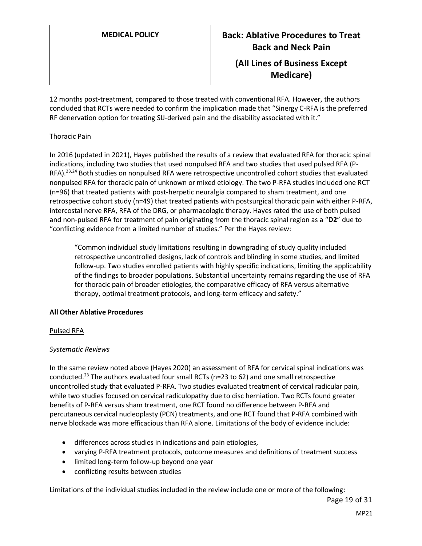**Medicare)**

12 months post-treatment, compared to those treated with conventional RFA. However, the authors concluded that RCTs were needed to confirm the implication made that "Sinergy C-RFA is the preferred RF denervation option for treating SIJ-derived pain and the disability associated with it."

# Thoracic Pain

In 2016 (updated in 2021), Hayes published the results of a review that evaluated RFA for thoracic spinal indications, including two studies that used nonpulsed RFA and two studies that used pulsed RFA (P-RFA).<sup>23,24</sup> Both studies on nonpulsed RFA were retrospective uncontrolled cohort studies that evaluated nonpulsed RFA for thoracic pain of unknown or mixed etiology. The two P-RFA studies included one RCT (n=96) that treated patients with post-herpetic neuralgia compared to sham treatment, and one retrospective cohort study (n=49) that treated patients with postsurgical thoracic pain with either P-RFA, intercostal nerve RFA, RFA of the DRG, or pharmacologic therapy. Hayes rated the use of both pulsed and non-pulsed RFA for treatment of pain originating from the thoracic spinal region as a "**D2**" due to "conflicting evidence from a limited number of studies." Per the Hayes review:

"Common individual study limitations resulting in downgrading of study quality included retrospective uncontrolled designs, lack of controls and blinding in some studies, and limited follow-up. Two studies enrolled patients with highly specific indications, limiting the applicability of the findings to broader populations. Substantial uncertainty remains regarding the use of RFA for thoracic pain of broader etiologies, the comparative efficacy of RFA versus alternative therapy, optimal treatment protocols, and long-term efficacy and safety."

# **All Other Ablative Procedures**

# Pulsed RFA

# *Systematic Reviews*

In the same review noted above (Hayes 2020) an assessment of RFA for cervical spinal indications was conducted.<sup>23</sup> The authors evaluated four small RCTs ( $n=23$  to 62) and one small retrospective uncontrolled study that evaluated P-RFA. Two studies evaluated treatment of cervical radicular pain, while two studies focused on cervical radiculopathy due to disc herniation. Two RCTs found greater benefits of P-RFA versus sham treatment, one RCT found no difference between P-RFA and percutaneous cervical nucleoplasty (PCN) treatments, and one RCT found that P-RFA combined with nerve blockade was more efficacious than RFA alone. Limitations of the body of evidence include:

- differences across studies in indications and pain etiologies,
- varying P-RFA treatment protocols, outcome measures and definitions of treatment success
- limited long-term follow-up beyond one year
- conflicting results between studies

Limitations of the individual studies included in the review include one or more of the following: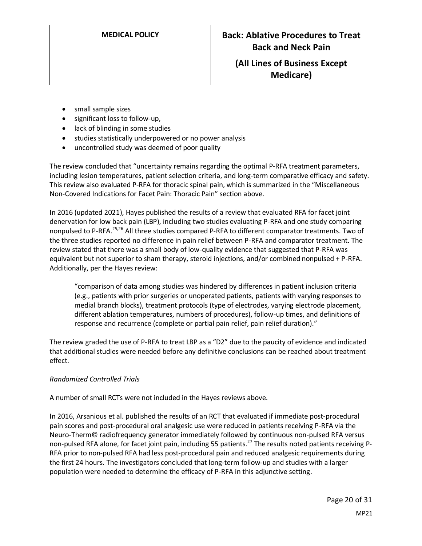- small sample sizes
- significant loss to follow-up,
- lack of blinding in some studies
- studies statistically underpowered or no power analysis
- uncontrolled study was deemed of poor quality

The review concluded that "uncertainty remains regarding the optimal P-RFA treatment parameters, including lesion temperatures, patient selection criteria, and long-term comparative efficacy and safety. This review also evaluated P-RFA for thoracic spinal pain, which is summarized in the "Miscellaneous Non-Covered Indications for Facet Pain: Thoracic Pain" section above.

In 2016 (updated 2021), Hayes published the results of a review that evaluated RFA for facet joint denervation for low back pain (LBP), including two studies evaluating P-RFA and one study comparing nonpulsed to P-RFA.25,26 All three studies compared P-RFA to different comparator treatments. Two of the three studies reported no difference in pain relief between P-RFA and comparator treatment. The review stated that there was a small body of low-quality evidence that suggested that P-RFA was equivalent but not superior to sham therapy, steroid injections, and/or combined nonpulsed + P-RFA. Additionally, per the Hayes review:

"comparison of data among studies was hindered by differences in patient inclusion criteria (e.g., patients with prior surgeries or unoperated patients, patients with varying responses to medial branch blocks), treatment protocols (type of electrodes, varying electrode placement, different ablation temperatures, numbers of procedures), follow-up times, and definitions of response and recurrence (complete or partial pain relief, pain relief duration)."

The review graded the use of P-RFA to treat LBP as a "D2" due to the paucity of evidence and indicated that additional studies were needed before any definitive conclusions can be reached about treatment effect.

# *Randomized Controlled Trials*

A number of small RCTs were not included in the Hayes reviews above.

In 2016, Arsanious et al. published the results of an RCT that evaluated if immediate post-procedural pain scores and post-procedural oral analgesic use were reduced in patients receiving P-RFA via the Neuro-Therm© radiofrequency generator immediately followed by continuous non-pulsed RFA versus non-pulsed RFA alone, for facet joint pain, including 55 patients.<sup>27</sup> The results noted patients receiving P-RFA prior to non-pulsed RFA had less post-procedural pain and reduced analgesic requirements during the first 24 hours. The investigators concluded that long-term follow-up and studies with a larger population were needed to determine the efficacy of P-RFA in this adjunctive setting.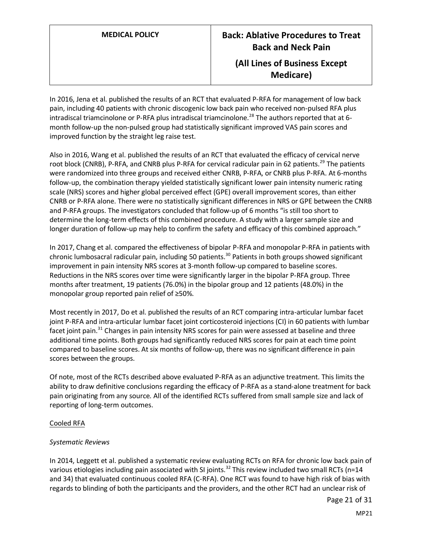In 2016, Jena et al. published the results of an RCT that evaluated P-RFA for management of low back pain, including 40 patients with chronic discogenic low back pain who received non-pulsed RFA plus intradiscal triamcinolone or P-RFA plus intradiscal triamcinolone.<sup>28</sup> The authors reported that at 6month follow-up the non-pulsed group had statistically significant improved VAS pain scores and improved function by the straight leg raise test.

Also in 2016, Wang et al. published the results of an RCT that evaluated the efficacy of cervical nerve root block (CNRB), P-RFA, and CNRB plus P-RFA for cervical radicular pain in 62 patients.<sup>29</sup> The patients were randomized into three groups and received either CNRB, P-RFA, or CNRB plus P-RFA. At 6-months follow-up, the combination therapy yielded statistically significant lower pain intensity numeric rating scale (NRS) scores and higher global perceived effect (GPE) overall improvement scores, than either CNRB or P-RFA alone. There were no statistically significant differences in NRS or GPE between the CNRB and P-RFA groups. The investigators concluded that follow‐up of 6 months "is still too short to determine the long‐term effects of this combined procedure. A study with a larger sample size and longer duration of follow-up may help to confirm the safety and efficacy of this combined approach."

In 2017, Chang et al. compared the effectiveness of bipolar P-RFA and monopolar P-RFA in patients with chronic lumbosacral radicular pain, including 50 patients.<sup>30</sup> Patients in both groups showed significant improvement in pain intensity NRS scores at 3-month follow-up compared to baseline scores. Reductions in the NRS scores over time were significantly larger in the bipolar P-RFA group. Three months after treatment, 19 patients (76.0%) in the bipolar group and 12 patients (48.0%) in the monopolar group reported pain relief of ≥50%.

Most recently in 2017, Do et al. published the results of an RCT comparing intra-articular lumbar facet joint P-RFA and intra-articular lumbar facet joint corticosteroid injections (CI) in 60 patients with lumbar facet joint pain.<sup>31</sup> Changes in pain intensity NRS scores for pain were assessed at baseline and three additional time points. Both groups had significantly reduced NRS scores for pain at each time point compared to baseline scores. At six months of follow-up, there was no significant difference in pain scores between the groups.

Of note, most of the RCTs described above evaluated P-RFA as an adjunctive treatment. This limits the ability to draw definitive conclusions regarding the efficacy of P-RFA as a stand-alone treatment for back pain originating from any source. All of the identified RCTs suffered from small sample size and lack of reporting of long-term outcomes.

### Cooled RFA

# *Systematic Reviews*

In 2014, Leggett et al. published a systematic review evaluating RCTs on RFA for chronic low back pain of various etiologies including pain associated with SI joints.<sup>32</sup> This review included two small RCTs (n=14 and 34) that evaluated continuous cooled RFA (C-RFA). One RCT was found to have high risk of bias with regards to blinding of both the participants and the providers, and the other RCT had an unclear risk of

Page 21 of 31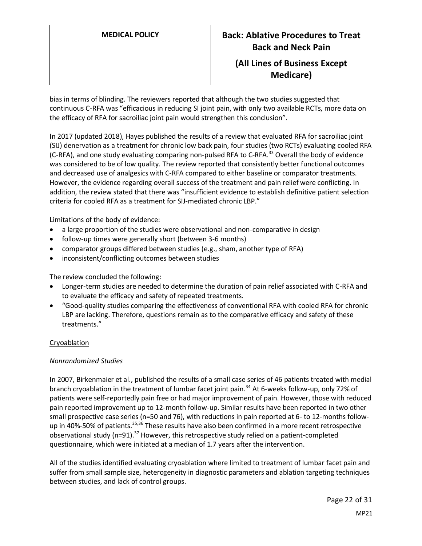bias in terms of blinding. The reviewers reported that although the two studies suggested that continuous C-RFA was "efficacious in reducing SI joint pain, with only two available RCTs, more data on the efficacy of RFA for sacroiliac joint pain would strengthen this conclusion".

In 2017 (updated 2018), Hayes published the results of a review that evaluated RFA for sacroiliac joint (SIJ) denervation as a treatment for chronic low back pain, four studies (two RCTs) evaluating cooled RFA (C-RFA), and one study evaluating comparing non-pulsed RFA to C-RFA.<sup>33</sup> Overall the body of evidence was considered to be of low quality. The review reported that consistently better functional outcomes and decreased use of analgesics with C-RFA compared to either baseline or comparator treatments. However, the evidence regarding overall success of the treatment and pain relief were conflicting. In addition, the review stated that there was "insufficient evidence to establish definitive patient selection criteria for cooled RFA as a treatment for SIJ-mediated chronic LBP."

Limitations of the body of evidence:

- a large proportion of the studies were observational and non-comparative in design
- follow-up times were generally short (between 3-6 months)
- comparator groups differed between studies (e.g., sham, another type of RFA)
- inconsistent/conflicting outcomes between studies

The review concluded the following:

- Longer-term studies are needed to determine the duration of pain relief associated with C-RFA and to evaluate the efficacy and safety of repeated treatments.
- "Good-quality studies comparing the effectiveness of conventional RFA with cooled RFA for chronic LBP are lacking. Therefore, questions remain as to the comparative efficacy and safety of these treatments."

### **Cryoablation**

### *Nonrandomized Studies*

In 2007, Birkenmaier et al., published the results of a small case series of 46 patients treated with medial branch cryoablation in the treatment of lumbar facet joint pain.<sup>34</sup> At 6-weeks follow-up, only 72% of patients were self-reportedly pain free or had major improvement of pain. However, those with reduced pain reported improvement up to 12-month follow-up. Similar results have been reported in two other small prospective case series (n=50 and 76), with reductions in pain reported at 6- to 12-months followup in 40%-50% of patients.<sup>35,36</sup> These results have also been confirmed in a more recent retrospective observational study ( $n=91$ ).<sup>37</sup> However, this retrospective study relied on a patient-completed questionnaire, which were initiated at a median of 1.7 years after the intervention.

All of the studies identified evaluating cryoablation where limited to treatment of lumbar facet pain and suffer from small sample size, heterogeneity in diagnostic parameters and ablation targeting techniques between studies, and lack of control groups.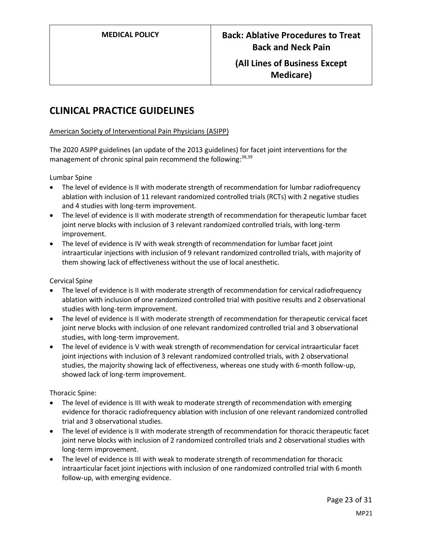# **CLINICAL PRACTICE GUIDELINES**

# American Society of Interventional Pain Physicians (ASIPP)

The 2020 ASIPP guidelines (an update of the 2013 guidelines) for facet joint interventions for the management of chronic spinal pain recommend the following: 38,39

Lumbar Spine

- The level of evidence is II with moderate strength of recommendation for lumbar radiofrequency ablation with inclusion of 11 relevant randomized controlled trials (RCTs) with 2 negative studies and 4 studies with long-term improvement.
- The level of evidence is II with moderate strength of recommendation for therapeutic lumbar facet joint nerve blocks with inclusion of 3 relevant randomized controlled trials, with long-term improvement.
- The level of evidence is IV with weak strength of recommendation for lumbar facet joint intraarticular injections with inclusion of 9 relevant randomized controlled trials, with majority of them showing lack of effectiveness without the use of local anesthetic.

Cervical Spine

- The level of evidence is II with moderate strength of recommendation for cervical radiofrequency ablation with inclusion of one randomized controlled trial with positive results and 2 observational studies with long-term improvement.
- The level of evidence is II with moderate strength of recommendation for therapeutic cervical facet joint nerve blocks with inclusion of one relevant randomized controlled trial and 3 observational studies, with long-term improvement.
- The level of evidence is V with weak strength of recommendation for cervical intraarticular facet joint injections with inclusion of 3 relevant randomized controlled trials, with 2 observational studies, the majority showing lack of effectiveness, whereas one study with 6-month follow-up, showed lack of long-term improvement.

Thoracic Spine:

- The level of evidence is III with weak to moderate strength of recommendation with emerging evidence for thoracic radiofrequency ablation with inclusion of one relevant randomized controlled trial and 3 observational studies.
- The level of evidence is II with moderate strength of recommendation for thoracic therapeutic facet joint nerve blocks with inclusion of 2 randomized controlled trials and 2 observational studies with long-term improvement.
- The level of evidence is III with weak to moderate strength of recommendation for thoracic intraarticular facet joint injections with inclusion of one randomized controlled trial with 6 month follow-up, with emerging evidence.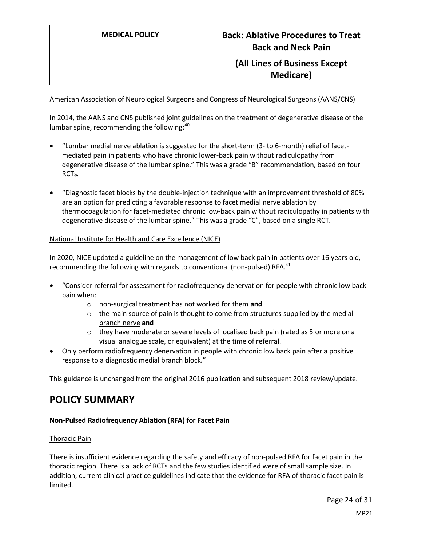American Association of Neurological Surgeons and Congress of Neurological Surgeons (AANS/CNS)

In 2014, the AANS and CNS published joint guidelines on the treatment of degenerative disease of the lumbar spine, recommending the following: $40$ 

- "Lumbar medial nerve ablation is suggested for the short-term (3- to 6-month) relief of facetmediated pain in patients who have chronic lower-back pain without radiculopathy from degenerative disease of the lumbar spine." This was a grade "B" recommendation, based on four RCTs.
- "Diagnostic facet blocks by the double-injection technique with an improvement threshold of 80% are an option for predicting a favorable response to facet medial nerve ablation by thermocoagulation for facet-mediated chronic low-back pain without radiculopathy in patients with degenerative disease of the lumbar spine." This was a grade "C", based on a single RCT.

# National Institute for Health and Care Excellence (NICE)

In 2020, NICE updated a guideline on the management of low back pain in patients over 16 years old, recommending the following with regards to conventional (non-pulsed) RFA.<sup>41</sup>

- "Consider referral for assessment for radiofrequency denervation for people with chronic low back pain when:
	- o non-surgical treatment has not worked for them **and**
	- $\circ$  the main source of pain is thought to come from structures supplied by the medial branch nerve **and**
	- $\circ$  they have moderate or severe levels of localised back pain (rated as 5 or more on a visual analogue scale, or equivalent) at the time of referral.
- Only perform radiofrequency denervation in people with chronic low back pain after a positive response to a diagnostic medial branch block."

This guidance is unchanged from the original 2016 publication and subsequent 2018 review/update.

# **POLICY SUMMARY**

# **Non-Pulsed Radiofrequency Ablation (RFA) for Facet Pain**

### Thoracic Pain

There is insufficient evidence regarding the safety and efficacy of non-pulsed RFA for facet pain in the thoracic region. There is a lack of RCTs and the few studies identified were of small sample size. In addition, current clinical practice guidelines indicate that the evidence for RFA of thoracic facet pain is limited.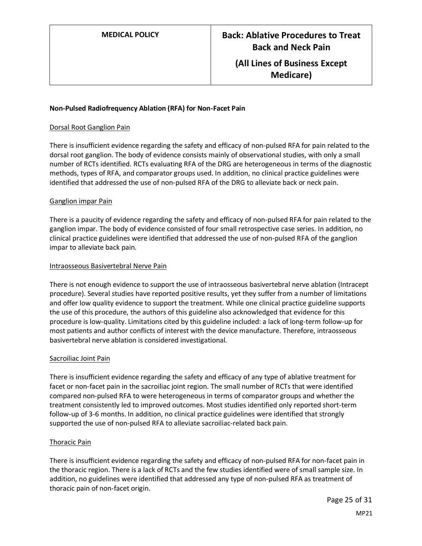### **Non-Pulsed Radiofrequency Ablation (RFA) for Non-Facet Pain**

#### Dorsal Root Ganglion Pain

There is insufficient evidence regarding the safety and efficacy of non-pulsed RFA for pain related to the dorsal root ganglion. The body of evidence consists mainly of observational studies, with only a small number of RCTs identified. RCTs evaluating RFA of the DRG are heterogeneous in terms of the diagnostic methods, types of RFA, and comparator groups used. In addition, no clinical practice guidelines were identified that addressed the use of non-pulsed RFA of the DRG to alleviate back or neck pain.

### Ganglion impar Pain

There is a paucity of evidence regarding the safety and efficacy of non-pulsed RFA for pain related to the ganglion impar. The body of evidence consisted of four small retrospective case series. In addition, no clinical practice guidelines were identified that addressed the use of non-pulsed RFA of the ganglion impar to alleviate back pain.

#### Intraosseous Basivertebral Nerve Pain

There is not enough evidence to support the use of intraosseous basivertebral nerve ablation (Intracept procedure). Several studies have reported positive results, yet they suffer from a number of limitations and offer low quality evidence to support the treatment. While one clinical practice guideline supports the use of this procedure, the authors of this guideline also acknowledged that evidence for this procedure is low-quality. Limitations cited by this guideline included: a lack of long-term follow-up for most patients and author conflicts of interest with the device manufacture. Therefore, intraosseous basivertebral nerve ablation is considered investigational.

#### Sacroiliac Joint Pain

There is insufficient evidence regarding the safety and efficacy of any type of ablative treatment for facet or non-facet pain in the sacroiliac joint region. The small number of RCTs that were identified compared non-pulsed RFA to were heterogeneous in terms of comparator groups and whether the treatment consistently led to improved outcomes. Most studies identified only reported short-term follow-up of 3-6 months. In addition, no clinical practice guidelines were identified that strongly supported the use of non-pulsed RFA to alleviate sacroiliac-related back pain.

### Thoracic Pain

There is insufficient evidence regarding the safety and efficacy of non-pulsed RFA for non-facet pain in the thoracic region. There is a lack of RCTs and the few studies identified were of small sample size. In addition, no guidelines were identified that addressed any type of non-pulsed RFA as treatment of thoracic pain of non-facet origin.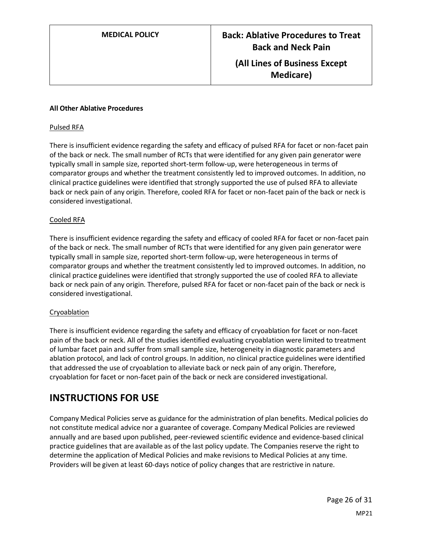## **All Other Ablative Procedures**

### Pulsed RFA

There is insufficient evidence regarding the safety and efficacy of pulsed RFA for facet or non-facet pain of the back or neck. The small number of RCTs that were identified for any given pain generator were typically small in sample size, reported short-term follow-up, were heterogeneous in terms of comparator groups and whether the treatment consistently led to improved outcomes. In addition, no clinical practice guidelines were identified that strongly supported the use of pulsed RFA to alleviate back or neck pain of any origin. Therefore, cooled RFA for facet or non-facet pain of the back or neck is considered investigational.

## Cooled RFA

There is insufficient evidence regarding the safety and efficacy of cooled RFA for facet or non-facet pain of the back or neck. The small number of RCTs that were identified for any given pain generator were typically small in sample size, reported short-term follow-up, were heterogeneous in terms of comparator groups and whether the treatment consistently led to improved outcomes. In addition, no clinical practice guidelines were identified that strongly supported the use of cooled RFA to alleviate back or neck pain of any origin. Therefore, pulsed RFA for facet or non-facet pain of the back or neck is considered investigational.

### Cryoablation

There is insufficient evidence regarding the safety and efficacy of cryoablation for facet or non-facet pain of the back or neck. All of the studies identified evaluating cryoablation were limited to treatment of lumbar facet pain and suffer from small sample size, heterogeneity in diagnostic parameters and ablation protocol, and lack of control groups. In addition, no clinical practice guidelines were identified that addressed the use of cryoablation to alleviate back or neck pain of any origin. Therefore, cryoablation for facet or non-facet pain of the back or neck are considered investigational.

# <span id="page-25-0"></span>**INSTRUCTIONS FOR USE**

Company Medical Policies serve as guidance for the administration of plan benefits. Medical policies do not constitute medical advice nor a guarantee of coverage. Company Medical Policies are reviewed annually and are based upon published, peer-reviewed scientific evidence and evidence-based clinical practice guidelines that are available as of the last policy update. The Companies reserve the right to determine the application of Medical Policies and make revisions to Medical Policies at any time. Providers will be given at least 60-days notice of policy changes that are restrictive in nature.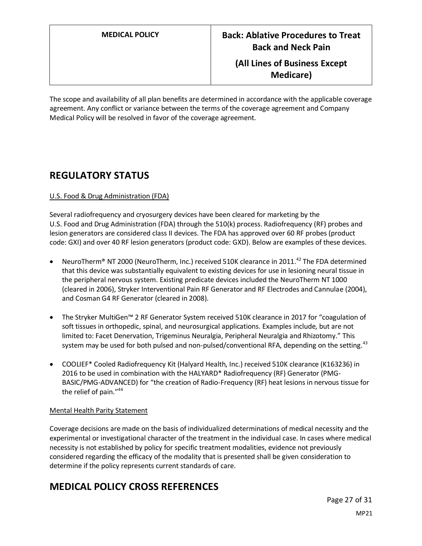The scope and availability of all plan benefits are determined in accordance with the applicable coverage agreement. Any conflict or variance between the terms of the coverage agreement and Company Medical Policy will be resolved in favor of the coverage agreement.

# **REGULATORY STATUS**

# U.S. Food & Drug Administration (FDA)

Several radiofrequency and cryosurgery devices have been cleared for marketing by the U.S. Food and Drug Administration (FDA) through the 510(k) process. Radiofrequency (RF) probes and lesion generators are considered class II devices. The FDA has approved over 60 RF probes (product code: GXI) and over 40 RF lesion generators (product code: GXD). Below are examples of these devices.

- NeuroTherm<sup>®</sup> NT 2000 (NeuroTherm, Inc.) received 510K clearance in 2011.<sup>42</sup> The FDA determined that this device was substantially equivalent to existing devices for use in lesioning neural tissue in the peripheral nervous system. Existing predicate devices included the NeuroTherm NT 1000 (cleared in 2006), Stryker Interventional Pain RF Generator and RF Electrodes and Cannulae (2004), and Cosman G4 RF Generator (cleared in 2008).
- The Stryker MultiGen™ 2 RF Generator System received 510K clearance in 2017 for "coagulation of soft tissues in orthopedic, spinal, and neurosurgical applications. Examples include, but are not limited to: Facet Denervation, Trigeminus Neuralgia, Peripheral Neuralgia and Rhizotomy." This system may be used for both pulsed and non-pulsed/conventional RFA, depending on the setting.<sup>43</sup>
- COOLIEF\* Cooled Radiofrequency Kit (Halyard Health, Inc.) received 510K clearance (K163236) in 2016 to be used in combination with the HALYARD\* Radiofrequency (RF) Generator (PMG-BASIC/PMG-ADVANCED) for "the creation of Radio-Frequency (RF) heat lesions in nervous tissue for the relief of pain."<sup>44</sup>

# Mental Health Parity Statement

Coverage decisions are made on the basis of individualized determinations of medical necessity and the experimental or investigational character of the treatment in the individual case. In cases where medical necessity is not established by policy for specific treatment modalities, evidence not previously considered regarding the efficacy of the modality that is presented shall be given consideration to determine if the policy represents current standards of care.

# **MEDICAL POLICY CROSS REFERENCES**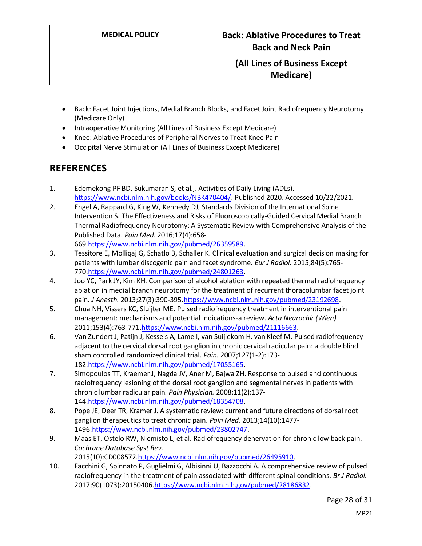- Back: Facet Joint Injections, Medial Branch Blocks, and Facet Joint Radiofrequency Neurotomy (Medicare Only)
- Intraoperative Monitoring (All Lines of Business Except Medicare)
- Knee: Ablative Procedures of Peripheral Nerves to Treat Knee Pain
- Occipital Nerve Stimulation (All Lines of Business Except Medicare)

# **REFERENCES**

- 1. Edemekong PF BD, Sukumaran S, et al.,. Activities of Daily Living (ADLs). [https://www.ncbi.nlm.nih.gov/books/NBK470404/.](https://www.ncbi.nlm.nih.gov/books/NBK470404/) Published 2020. Accessed 10/22/2021.
- 2. Engel A, Rappard G, King W, Kennedy DJ, Standards Division of the International Spine Intervention S. The Effectiveness and Risks of Fluoroscopically-Guided Cervical Medial Branch Thermal Radiofrequency Neurotomy: A Systematic Review with Comprehensive Analysis of the Published Data. *Pain Med.* 2016;17(4):658- 669[.https://www.ncbi.nlm.nih.gov/pubmed/26359589.](https://www.ncbi.nlm.nih.gov/pubmed/26359589)
- 3. Tessitore E, Molliqaj G, Schatlo B, Schaller K. Clinical evaluation and surgical decision making for patients with lumbar discogenic pain and facet syndrome. *Eur J Radiol.* 2015;84(5):765- 770[.https://www.ncbi.nlm.nih.gov/pubmed/24801263.](https://www.ncbi.nlm.nih.gov/pubmed/24801263)
- 4. Joo YC, Park JY, Kim KH. Comparison of alcohol ablation with repeated thermal radiofrequency ablation in medial branch neurotomy for the treatment of recurrent thoracolumbar facet joint pain. *J Anesth.* 2013;27(3):390-395[.https://www.ncbi.nlm.nih.gov/pubmed/23192698.](https://www.ncbi.nlm.nih.gov/pubmed/23192698)
- 5. Chua NH, Vissers KC, Sluijter ME. Pulsed radiofrequency treatment in interventional pain management: mechanisms and potential indications-a review. *Acta Neurochir (Wien).*  2011;153(4):763-77[1.https://www.ncbi.nlm.nih.gov/pubmed/21116663.](https://www.ncbi.nlm.nih.gov/pubmed/21116663)
- 6. Van Zundert J, Patijn J, Kessels A, Lame I, van Suijlekom H, van Kleef M. Pulsed radiofrequency adjacent to the cervical dorsal root ganglion in chronic cervical radicular pain: a double blind sham controlled randomized clinical trial. *Pain.* 2007;127(1-2):173- 182[.https://www.ncbi.nlm.nih.gov/pubmed/17055165.](https://www.ncbi.nlm.nih.gov/pubmed/17055165)
- 7. Simopoulos TT, Kraemer J, Nagda JV, Aner M, Bajwa ZH. Response to pulsed and continuous radiofrequency lesioning of the dorsal root ganglion and segmental nerves in patients with chronic lumbar radicular pain. *Pain Physician.* 2008;11(2):137- 144[.https://www.ncbi.nlm.nih.gov/pubmed/18354708.](https://www.ncbi.nlm.nih.gov/pubmed/18354708)
- 8. Pope JE, Deer TR, Kramer J. A systematic review: current and future directions of dorsal root ganglion therapeutics to treat chronic pain. *Pain Med.* 2013;14(10):1477- 1496[.https://www.ncbi.nlm.nih.gov/pubmed/23802747.](https://www.ncbi.nlm.nih.gov/pubmed/23802747)
- 9. Maas ET, Ostelo RW, Niemisto L, et al. Radiofrequency denervation for chronic low back pain. *Cochrane Database Syst Rev.*  2015(10):CD008572[.https://www.ncbi.nlm.nih.gov/pubmed/26495910.](https://www.ncbi.nlm.nih.gov/pubmed/26495910)
- 10. Facchini G, Spinnato P, Guglielmi G, Albisinni U, Bazzocchi A. A comprehensive review of pulsed radiofrequency in the treatment of pain associated with different spinal conditions. *Br J Radiol.*  2017;90(1073):2015040[6.https://www.ncbi.nlm.nih.gov/pubmed/28186832.](https://www.ncbi.nlm.nih.gov/pubmed/28186832)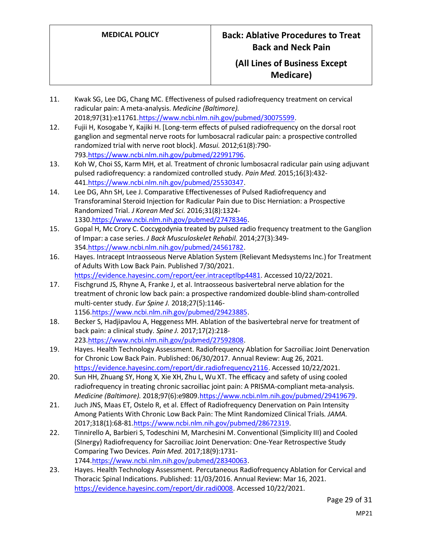- 11. Kwak SG, Lee DG, Chang MC. Effectiveness of pulsed radiofrequency treatment on cervical radicular pain: A meta-analysis. *Medicine (Baltimore).*  2018;97(31):e11761[.https://www.ncbi.nlm.nih.gov/pubmed/30075599.](https://www.ncbi.nlm.nih.gov/pubmed/30075599)
- 12. Fujii H, Kosogabe Y, Kajiki H. [Long-term effects of pulsed radiofrequency on the dorsal root ganglion and segmental nerve roots for lumbosacral radicular pain: a prospective controlled randomized trial with nerve root block]. *Masui.* 2012;61(8):790- 793[.https://www.ncbi.nlm.nih.gov/pubmed/22991796.](https://www.ncbi.nlm.nih.gov/pubmed/22991796)
- 13. Koh W, Choi SS, Karm MH, et al. Treatment of chronic lumbosacral radicular pain using adjuvant pulsed radiofrequency: a randomized controlled study. *Pain Med.* 2015;16(3):432- 441[.https://www.ncbi.nlm.nih.gov/pubmed/25530347.](https://www.ncbi.nlm.nih.gov/pubmed/25530347)
- 14. Lee DG, Ahn SH, Lee J. Comparative Effectivenesses of Pulsed Radiofrequency and Transforaminal Steroid Injection for Radicular Pain due to Disc Herniation: a Prospective Randomized Trial. *J Korean Med Sci.* 2016;31(8):1324- 1330[.https://www.ncbi.nlm.nih.gov/pubmed/27478346.](https://www.ncbi.nlm.nih.gov/pubmed/27478346)
- 15. Gopal H, Mc Crory C. Coccygodynia treated by pulsed radio frequency treatment to the Ganglion of Impar: a case series. *J Back Musculoskelet Rehabil.* 2014;27(3):349- 354[.https://www.ncbi.nlm.nih.gov/pubmed/24561782.](https://www.ncbi.nlm.nih.gov/pubmed/24561782)
- 16. Hayes. Intracept Intraosseous Nerve Ablation System (Relievant Medsystems Inc.) for Treatment of Adults With Low Back Pain. Published 7/30/2021. [https://evidence.hayesinc.com/report/eer.intraceptlbp4481.](https://evidence.hayesinc.com/report/eer.intraceptlbp4481) Accessed 10/22/2021.
- 17. Fischgrund JS, Rhyne A, Franke J, et al. Intraosseous basivertebral nerve ablation for the treatment of chronic low back pain: a prospective randomized double-blind sham-controlled multi-center study. *Eur Spine J.* 2018;27(5):1146- 1156[.https://www.ncbi.nlm.nih.gov/pubmed/29423885.](https://www.ncbi.nlm.nih.gov/pubmed/29423885)
- 18. Becker S, Hadjipavlou A, Heggeness MH. Ablation of the basivertebral nerve for treatment of back pain: a clinical study. *Spine J.* 2017;17(2):218- 223[.https://www.ncbi.nlm.nih.gov/pubmed/27592808.](https://www.ncbi.nlm.nih.gov/pubmed/27592808)
- 19. Hayes. Health Technology Assessment. Radiofrequency Ablation for Sacroiliac Joint Denervation for Chronic Low Back Pain. Published: 06/30/2017. Annual Review: Aug 26, 2021. [https://evidence.hayesinc.com/report/dir.radiofrequency2116.](https://evidence.hayesinc.com/report/dir.radiofrequency2116) Accessed 10/22/2021.
- 20. Sun HH, Zhuang SY, Hong X, Xie XH, Zhu L, Wu XT. The efficacy and safety of using cooled radiofrequency in treating chronic sacroiliac joint pain: A PRISMA-compliant meta-analysis. *Medicine (Baltimore).* 2018;97(6):e9809[.https://www.ncbi.nlm.nih.gov/pubmed/29419679.](https://www.ncbi.nlm.nih.gov/pubmed/29419679)
- 21. Juch JNS, Maas ET, Ostelo R, et al. Effect of Radiofrequency Denervation on Pain Intensity Among Patients With Chronic Low Back Pain: The Mint Randomized Clinical Trials. *JAMA.*  2017;318(1):68-8[1.https://www.ncbi.nlm.nih.gov/pubmed/28672319.](https://www.ncbi.nlm.nih.gov/pubmed/28672319)
- 22. Tinnirello A, Barbieri S, Todeschini M, Marchesini M. Conventional (Simplicity III) and Cooled (SInergy) Radiofrequency for Sacroiliac Joint Denervation: One-Year Retrospective Study Comparing Two Devices. *Pain Med.* 2017;18(9):1731- 1744[.https://www.ncbi.nlm.nih.gov/pubmed/28340063.](https://www.ncbi.nlm.nih.gov/pubmed/28340063)
- 23. Hayes. Health Technology Assessment. Percutaneous Radiofrequency Ablation for Cervical and Thoracic Spinal Indications. Published: 11/03/2016. Annual Review: Mar 16, 2021. [https://evidence.hayesinc.com/report/dir.radi0008.](https://evidence.hayesinc.com/report/dir.radi0008) Accessed 10/22/2021.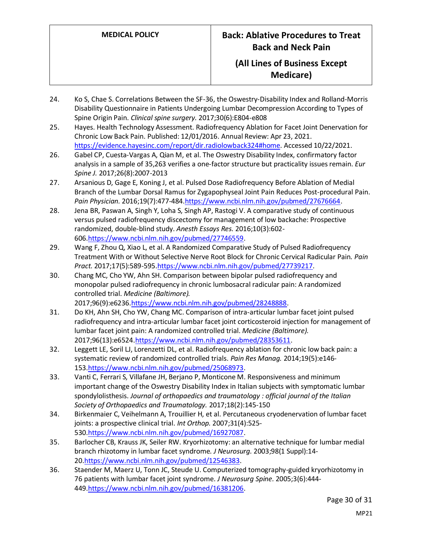- 24. Ko S, Chae S. Correlations Between the SF-36, the Oswestry-Disability Index and Rolland-Morris Disability Questionnaire in Patients Undergoing Lumbar Decompression According to Types of Spine Origin Pain. *Clinical spine surgery.* 2017;30(6):E804-e808
- 25. Hayes. Health Technology Assessment. Radiofrequency Ablation for Facet Joint Denervation for Chronic Low Back Pain. Published: 12/01/2016. Annual Review: Apr 23, 2021. [https://evidence.hayesinc.com/report/dir.radiolowback324#home.](https://evidence.hayesinc.com/report/dir.radiolowback324#home) Accessed 10/22/2021.
- 26. Gabel CP, Cuesta-Vargas A, Qian M, et al. The Oswestry Disability Index, confirmatory factor analysis in a sample of 35,263 verifies a one-factor structure but practicality issues remain. *Eur Spine J.* 2017;26(8):2007-2013
- 27. Arsanious D, Gage E, Koning J, et al. Pulsed Dose Radiofrequency Before Ablation of Medial Branch of the Lumbar Dorsal Ramus for Zygapophyseal Joint Pain Reduces Post-procedural Pain. *Pain Physician.* 2016;19(7):477-484[.https://www.ncbi.nlm.nih.gov/pubmed/27676664.](https://www.ncbi.nlm.nih.gov/pubmed/27676664)
- 28. Jena BR, Paswan A, Singh Y, Loha S, Singh AP, Rastogi V. A comparative study of continuous versus pulsed radiofrequency discectomy for management of low backache: Prospective randomized, double-blind study. *Anesth Essays Res.* 2016;10(3):602- 606[.https://www.ncbi.nlm.nih.gov/pubmed/27746559.](https://www.ncbi.nlm.nih.gov/pubmed/27746559)
- 29. Wang F, Zhou Q, Xiao L, et al. A Randomized Comparative Study of Pulsed Radiofrequency Treatment With or Without Selective Nerve Root Block for Chronic Cervical Radicular Pain. *Pain Pract.* 2017;17(5):589-595[.https://www.ncbi.nlm.nih.gov/pubmed/27739217.](https://www.ncbi.nlm.nih.gov/pubmed/27739217)
- 30. Chang MC, Cho YW, Ahn SH. Comparison between bipolar pulsed radiofrequency and monopolar pulsed radiofrequency in chronic lumbosacral radicular pain: A randomized controlled trial. *Medicine (Baltimore).*  2017;96(9):e6236[.https://www.ncbi.nlm.nih.gov/pubmed/28248888.](https://www.ncbi.nlm.nih.gov/pubmed/28248888)
- 31. Do KH, Ahn SH, Cho YW, Chang MC. Comparison of intra-articular lumbar facet joint pulsed radiofrequency and intra-articular lumbar facet joint corticosteroid injection for management of lumbar facet joint pain: A randomized controlled trial. *Medicine (Baltimore).*  2017;96(13):e652[4.https://www.ncbi.nlm.nih.gov/pubmed/28353611.](https://www.ncbi.nlm.nih.gov/pubmed/28353611)
- 32. Leggett LE, Soril LJ, Lorenzetti DL, et al. Radiofrequency ablation for chronic low back pain: a systematic review of randomized controlled trials. *Pain Res Manag.* 2014;19(5):e146- 153[.https://www.ncbi.nlm.nih.gov/pubmed/25068973.](https://www.ncbi.nlm.nih.gov/pubmed/25068973)
- 33. Vanti C, Ferrari S, Villafane JH, Berjano P, Monticone M. Responsiveness and minimum important change of the Oswestry Disability Index in Italian subjects with symptomatic lumbar spondylolisthesis. *Journal of orthopaedics and traumatology : official journal of the Italian Society of Orthopaedics and Traumatology.* 2017;18(2):145-150
- 34. Birkenmaier C, Veihelmann A, Trouillier H, et al. Percutaneous cryodenervation of lumbar facet joints: a prospective clinical trial. *Int Orthop.* 2007;31(4):525- 530[.https://www.ncbi.nlm.nih.gov/pubmed/16927087.](https://www.ncbi.nlm.nih.gov/pubmed/16927087)
- 35. Barlocher CB, Krauss JK, Seiler RW. Kryorhizotomy: an alternative technique for lumbar medial branch rhizotomy in lumbar facet syndrome. *J Neurosurg.* 2003;98(1 Suppl):14- 20[.https://www.ncbi.nlm.nih.gov/pubmed/12546383.](https://www.ncbi.nlm.nih.gov/pubmed/12546383)
- 36. Staender M, Maerz U, Tonn JC, Steude U. Computerized tomography-guided kryorhizotomy in 76 patients with lumbar facet joint syndrome. *J Neurosurg Spine.* 2005;3(6):444- 449[.https://www.ncbi.nlm.nih.gov/pubmed/16381206.](https://www.ncbi.nlm.nih.gov/pubmed/16381206)